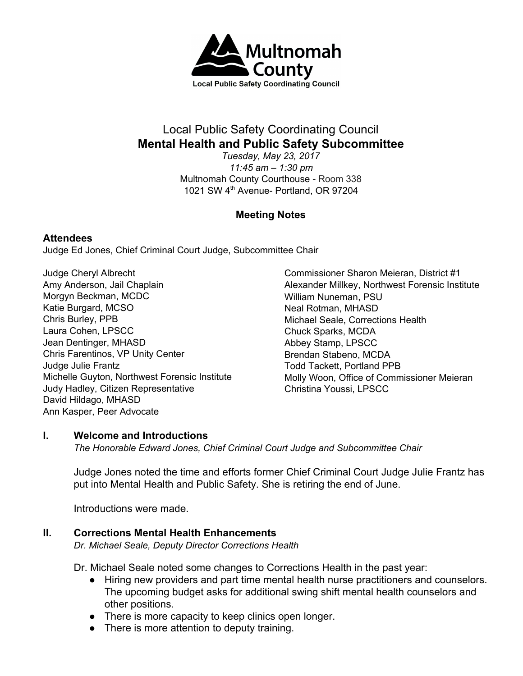

# Local Public Safety Coordinating Council **Mental Health and Public Safety Subcommittee**

*Tuesday, May 23, 2017 11:45 am – 1:30 pm* Multnomah County Courthouse - Room 338 1021 SW 4<sup>th</sup> Avenue- Portland, OR 97204

# **Meeting Notes**

#### **Attendees**

Judge Ed Jones, Chief Criminal Court Judge, Subcommittee Chair

Judge Cheryl Albrecht Amy Anderson, Jail Chaplain Morgyn Beckman, MCDC Katie Burgard, MCSO Chris Burley, PPB Laura Cohen, LPSCC Jean Dentinger, MHASD Chris Farentinos, VP Unity Center Judge Julie Frantz Michelle Guyton, Northwest Forensic Institute Judy Hadley, Citizen Representative David Hildago, MHASD Ann Kasper, Peer Advocate

Commissioner Sharon Meieran, District #1 Alexander Millkey, Northwest Forensic Institute William Nuneman, PSU Neal Rotman, MHASD Michael Seale, Corrections Health Chuck Sparks, MCDA Abbey Stamp, LPSCC Brendan Stabeno, MCDA Todd Tackett, Portland PPB Molly Woon, Office of Commissioner Meieran Christina Youssi, LPSCC

#### **I. Welcome and Introductions**

*The Honorable Edward Jones, Chief Criminal Court Judge and Subcommittee Chair*

Judge Jones noted the time and efforts former Chief Criminal Court Judge Julie Frantz has put into Mental Health and Public Safety. She is retiring the end of June.

Introductions were made.

## **II. Corrections Mental Health Enhancements**

*Dr. Michael Seale, Deputy Director Corrections Health*

Dr. Michael Seale noted some changes to Corrections Health in the past year:

- Hiring new providers and part time mental health nurse practitioners and counselors. The upcoming budget asks for additional swing shift mental health counselors and other positions.
- There is more capacity to keep clinics open longer.
- There is more attention to deputy training.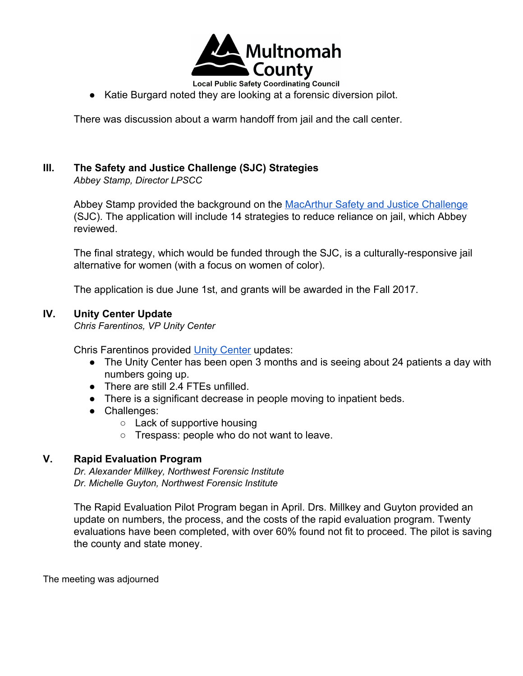

**Local Public Safety Coordinating Council** ● Katie Burgard noted they are looking at a forensic diversion pilot.

There was discussion about a warm handoff from jail and the call center.

# **III. The Safety and Justice Challenge (SJC) Strategies**

*Abbey Stamp, Director LPSCC*

Abbey Stamp provided the background on the [MacArthur Safety and Justice Challenge](https://multco.us/lpscc/macarthur-safety-and-justice-challenge) (SJC). The application will include 14 strategies to reduce reliance on jail, which Abbey reviewed.

The final strategy, which would be funded through the SJC, is a culturally-responsive jail alternative for women (with a focus on women of color).

The application is due June 1st, and grants will be awarded in the Fall 2017.

#### **IV. Unity Center Update**

*Chris Farentinos, VP Unity Center*

Chris Farentinos provided [Unity Center](https://unityhealthcenter.org/) updates:

- The Unity Center has been open 3 months and is seeing about 24 patients a day with numbers going up.
- There are still 2.4 FTEs unfilled.
- There is a significant decrease in people moving to inpatient beds.
- Challenges:
	- Lack of supportive housing
	- Trespass: people who do not want to leave.

## **V. Rapid Evaluation Program**

*Dr. Alexander Millkey, Northwest Forensic Institute Dr. Michelle Guyton, Northwest Forensic Institute*

The Rapid Evaluation Pilot Program began in April. Drs. Millkey and Guyton provided an update on numbers, the process, and the costs of the rapid evaluation program. Twenty evaluations have been completed, with over 60% found not fit to proceed. The pilot is saving the county and state money.

The meeting was adjourned